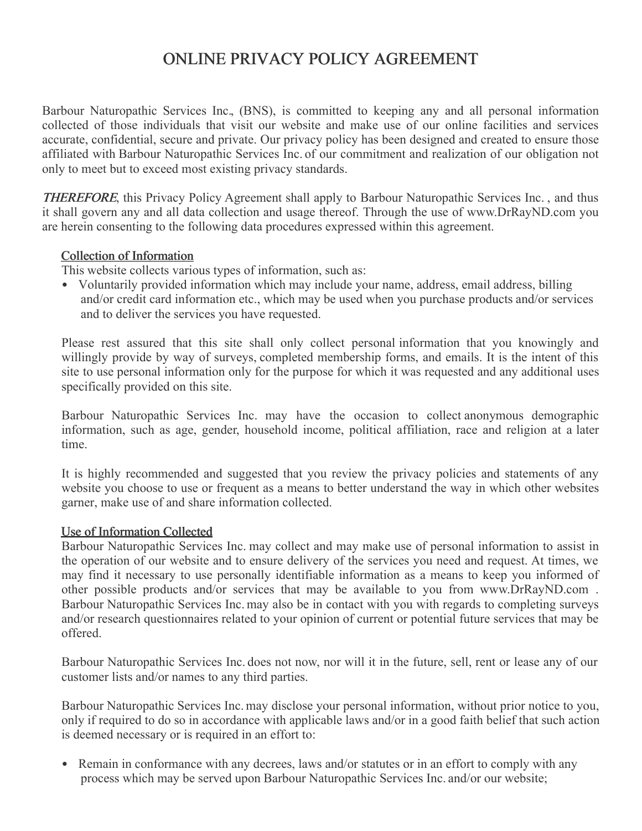# ONLINE PRIVACY POLICY AGREEMENT

Barbour Naturopathic Services Inc., (BNS), is committed to keeping any and all personal information collected of those individuals that visit our website and make use of our online facilities and services accurate, confidential, secure and private. Our privacy policy has been designed and created to ensure those affiliated with Barbour Naturopathic Services Inc. of our commitment and realization of our obligation not only to meet but to exceed most existing privacy standards.

THEREFORE, this Privacy Policy Agreement shall apply to Barbour Naturopathic Services Inc. , and thus it shall govern any and all data collection and usage thereof. Through the use of www.DrRayND.com you are herein consenting to the following data procedures expressed within this agreement.

# Collection of Information

This website collects various types of information, such as:

• Voluntarily provided information which may include your name, address, email address, billing and/or credit card information etc., which may be used when you purchase products and/or services and to deliver the services you have requested.

Please rest assured that this site shall only collect personal information that you knowingly and willingly provide by way of surveys, completed membership forms, and emails. It is the intent of this site to use personal information only for the purpose for which it was requested and any additional uses specifically provided on this site.

Barbour Naturopathic Services Inc. may have the occasion to collect anonymous demographic information, such as age, gender, household income, political affiliation, race and religion at a later time.

It is highly recommended and suggested that you review the privacy policies and statements of any website you choose to use or frequent as a means to better understand the way in which other websites garner, make use of and share information collected.

# Use of Information Collected

Barbour Naturopathic Services Inc. may collect and may make use of personal information to assist in the operation of our website and to ensure delivery of the services you need and request. At times, we may find it necessary to use personally identifiable information as a means to keep you informed of other possible products and/or services that may be available to you from www.DrRayND.com . Barbour Naturopathic Services Inc. may also be in contact with you with regards to completing surveys and/or research questionnaires related to your opinion of current or potential future services that may be offered.

Barbour Naturopathic Services Inc. does not now, nor will it in the future, sell, rent or lease any of our customer lists and/or names to any third parties.

Barbour Naturopathic Services Inc. may disclose your personal information, without prior notice to you, only if required to do so in accordance with applicable laws and/or in a good faith belief that such action is deemed necessary or is required in an effort to:

• Remain in conformance with any decrees, laws and/or statutes or in an effort to comply with any process which may be served upon Barbour Naturopathic Services Inc. and/or our website;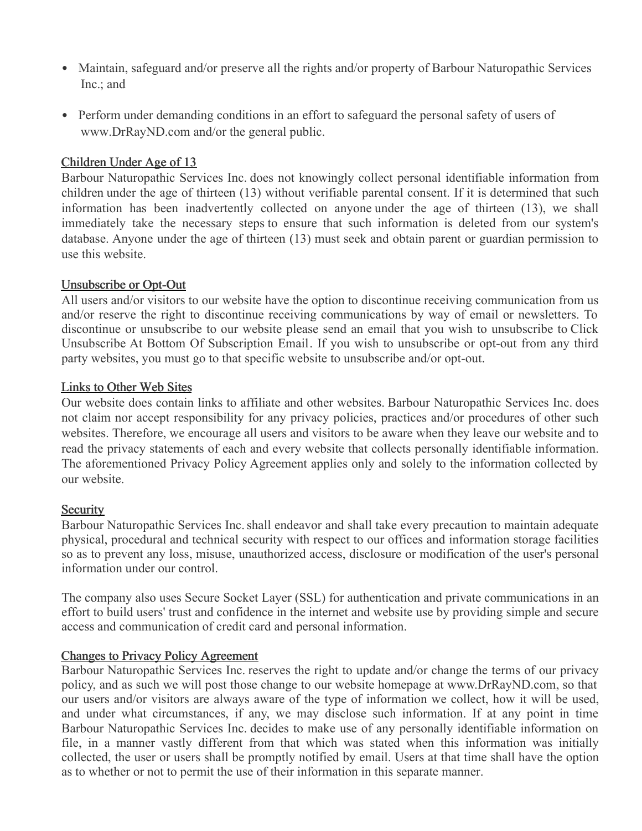- Maintain, safeguard and/or preserve all the rights and/or property of Barbour Naturopathic Services Inc.; and
- Perform under demanding conditions in an effort to safeguard the personal safety of users of www.DrRayND.com and/or the general public.

## Children Under Age of 13

Barbour Naturopathic Services Inc. does not knowingly collect personal identifiable information from children under the age of thirteen (13) without verifiable parental consent. If it is determined that such information has been inadvertently collected on anyone under the age of thirteen (13), we shall immediately take the necessary steps to ensure that such information is deleted from our system's database. Anyone under the age of thirteen (13) must seek and obtain parent or guardian permission to use this website.

## Unsubscribe or Opt-Out

All users and/or visitors to our website have the option to discontinue receiving communication from us and/or reserve the right to discontinue receiving communications by way of email or newsletters. To discontinue or unsubscribe to our website please send an email that you wish to unsubscribe to Click Unsubscribe At Bottom Of Subscription Email. If you wish to unsubscribe or opt-out from any third party websites, you must go to that specific website to unsubscribe and/or opt-out.

#### Links to Other Web Sites

Our website does contain links to affiliate and other websites. Barbour Naturopathic Services Inc. does not claim nor accept responsibility for any privacy policies, practices and/or procedures of other such websites. Therefore, we encourage all users and visitors to be aware when they leave our website and to read the privacy statements of each and every website that collects personally identifiable information. The aforementioned Privacy Policy Agreement applies only and solely to the information collected by our website.

#### **Security**

Barbour Naturopathic Services Inc. shall endeavor and shall take every precaution to maintain adequate physical, procedural and technical security with respect to our offices and information storage facilities so as to prevent any loss, misuse, unauthorized access, disclosure or modification of the user's personal information under our control.

The company also uses Secure Socket Layer (SSL) for authentication and private communications in an effort to build users' trust and confidence in the internet and website use by providing simple and secure access and communication of credit card and personal information.

#### Changes to Privacy Policy Agreement

Barbour Naturopathic Services Inc. reserves the right to update and/or change the terms of our privacy policy, and as such we will post those change to our website homepage at www.DrRayND.com, so that our users and/or visitors are always aware of the type of information we collect, how it will be used, and under what circumstances, if any, we may disclose such information. If at any point in time Barbour Naturopathic Services Inc. decides to make use of any personally identifiable information on file, in a manner vastly different from that which was stated when this information was initially collected, the user or users shall be promptly notified by email. Users at that time shall have the option as to whether or not to permit the use of their information in this separate manner.